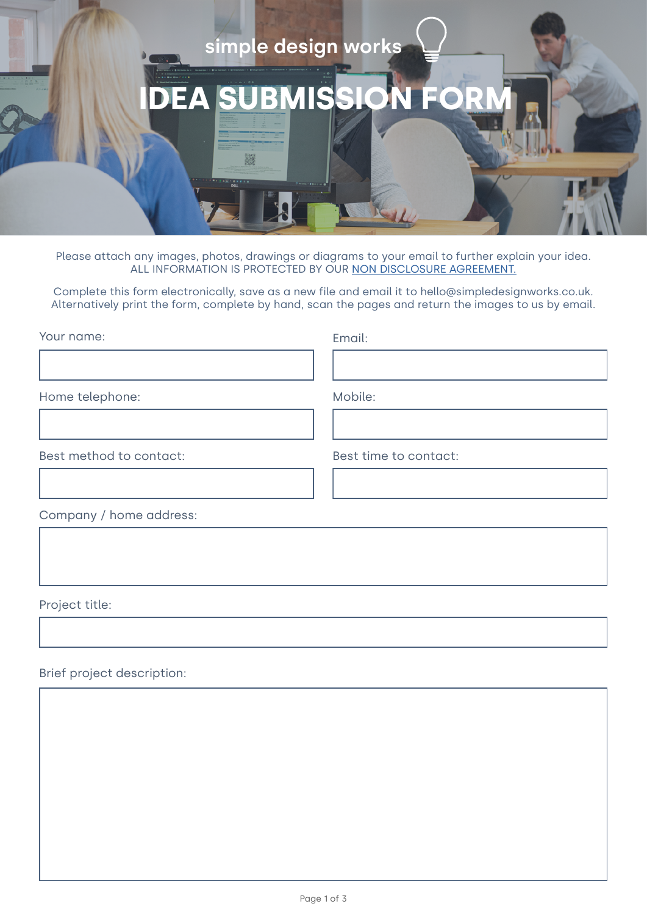

Please attach any images, photos, drawings or diagrams to your email to further explain your idea. ALL INFORMATION IS PROTECTED BY OUR [NON DISCLOSURE AGREEMENT.](https://simpledesignworks.co.uk/wp-content/uploads/SDW-BB-NDA.pdf)

Complete this form electronically, save as a new file and email it to hello@simpledesignworks.co.uk. Alternatively print the form, complete by hand, scan the pages and return the images to us by email.

| Your name:              | Email:                |
|-------------------------|-----------------------|
|                         |                       |
| Home telephone:         | Mobile:               |
|                         |                       |
| Best method to contact: | Best time to contact: |
|                         |                       |
| Company / home address: |                       |
|                         |                       |

Project title:

Brief project description: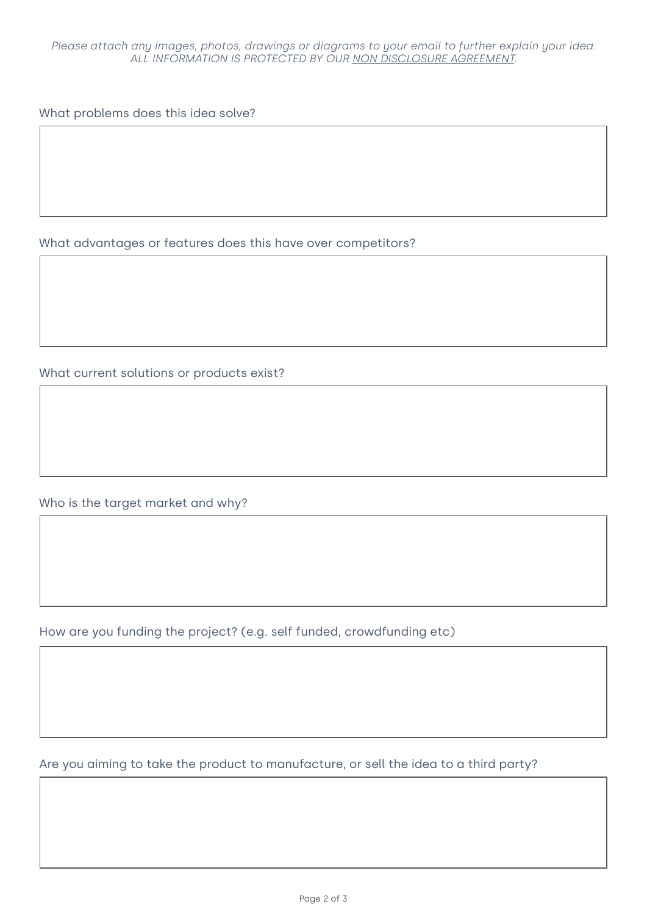What problems does this idea solve?

What advantages or features does this have over competitors?

What current solutions or products exist?

Who is the target market and why?

How are you funding the project? (e.g. self funded, crowdfunding etc)

Are you aiming to take the product to manufacture, or sell the idea to a third party?